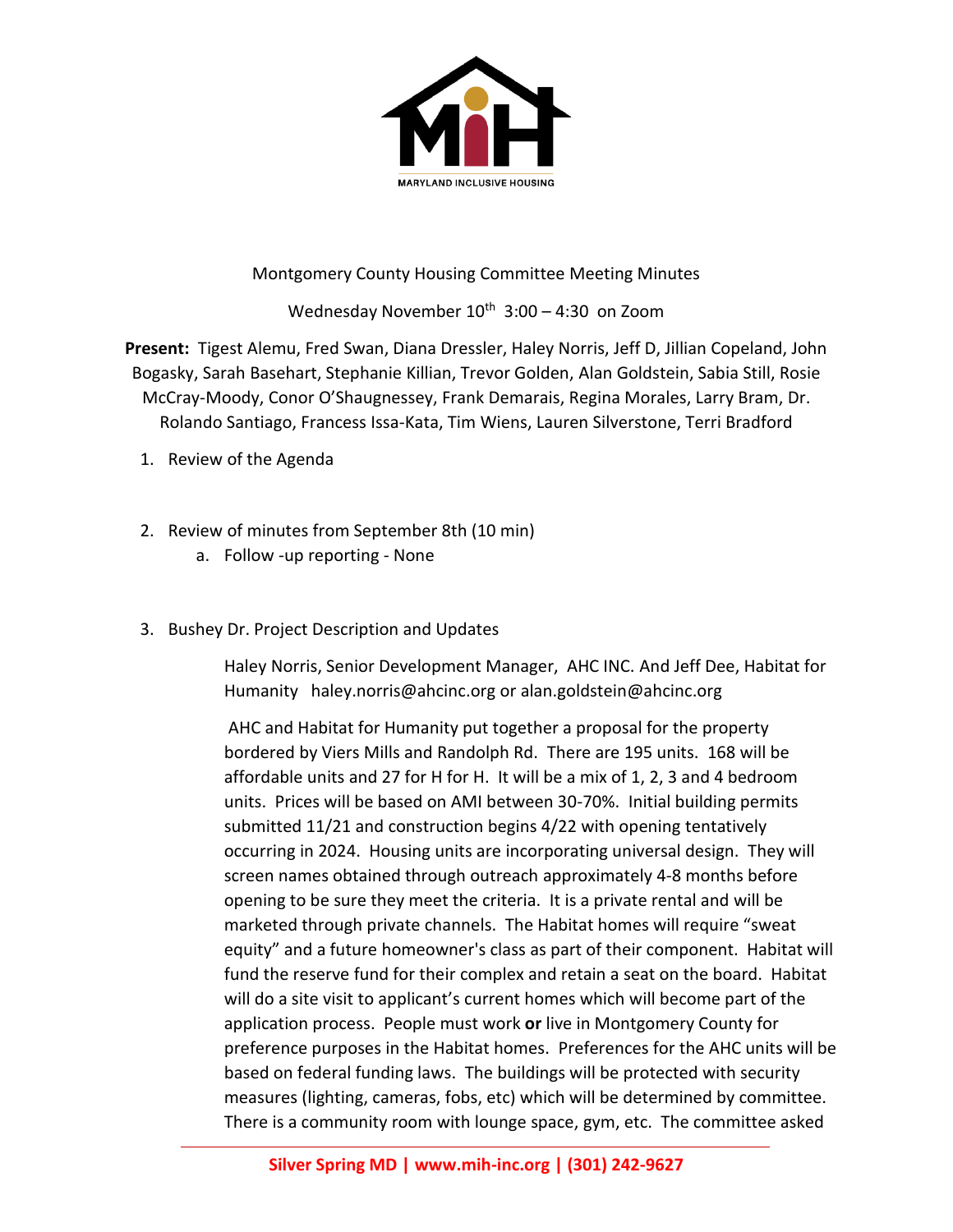

## Montgomery County Housing Committee Meeting Minutes

Wednesday November  $10^{th}$  3:00 - 4:30 on Zoom

**Present:** Tigest Alemu, Fred Swan, Diana Dressler, Haley Norris, Jeff D, Jillian Copeland, John Bogasky, Sarah Basehart, Stephanie Killian, Trevor Golden, Alan Goldstein, Sabia Still, Rosie McCray-Moody, Conor O'Shaugnessey, Frank Demarais, Regina Morales, Larry Bram, Dr. Rolando Santiago, Francess Issa-Kata, Tim Wiens, Lauren Silverstone, Terri Bradford

- 1. Review of the Agenda
- 2. Review of minutes from September 8th (10 min)
	- a. Follow -up reporting None
- 3. Bushey Dr. Project Description and Updates

Haley Norris, Senior Development Manager, AHC INC. And Jeff Dee, Habitat for Humanity haley.norris@ahcinc.org or alan.goldstein@ahcinc.org

AHC and Habitat for Humanity put together a proposal for the property bordered by Viers Mills and Randolph Rd. There are 195 units. 168 will be affordable units and 27 for H for H. It will be a mix of 1, 2, 3 and 4 bedroom units. Prices will be based on AMI between 30-70%. Initial building permits submitted 11/21 and construction begins 4/22 with opening tentatively occurring in 2024. Housing units are incorporating universal design. They will screen names obtained through outreach approximately 4-8 months before opening to be sure they meet the criteria. It is a private rental and will be marketed through private channels. The Habitat homes will require "sweat equity" and a future homeowner's class as part of their component. Habitat will fund the reserve fund for their complex and retain a seat on the board. Habitat will do a site visit to applicant's current homes which will become part of the application process. People must work **or** live in Montgomery County for preference purposes in the Habitat homes. Preferences for the AHC units will be based on federal funding laws. The buildings will be protected with security measures (lighting, cameras, fobs, etc) which will be determined by committee. There is a community room with lounge space, gym, etc. The committee asked